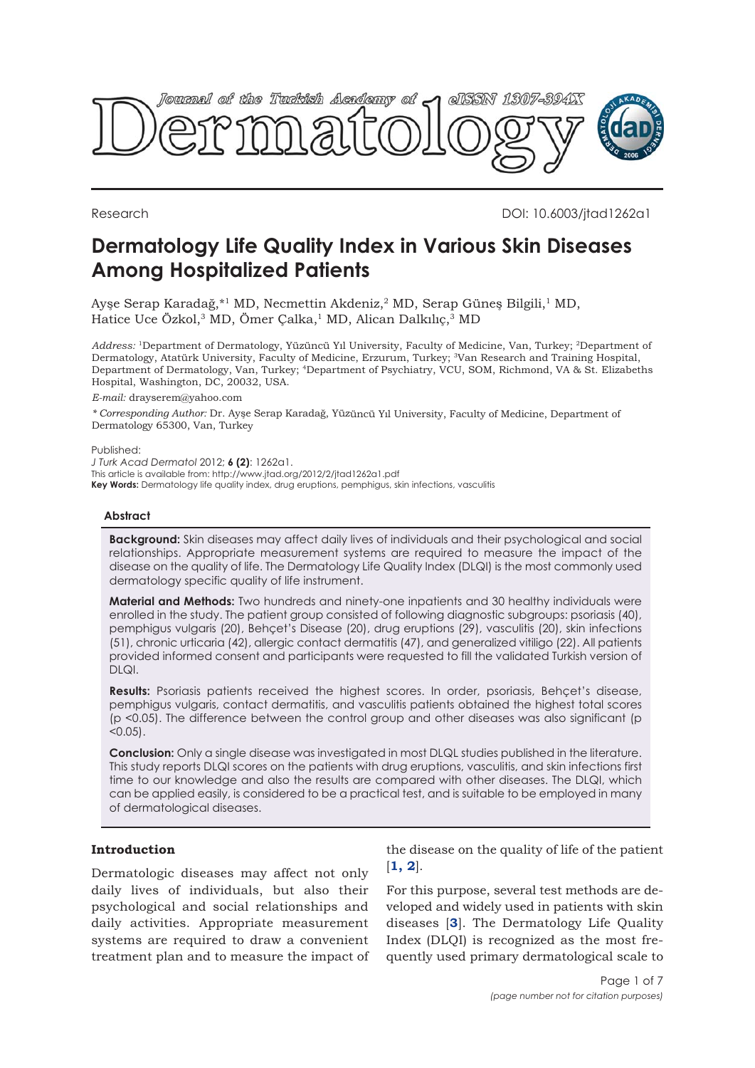

Research DOI: 10.6003/jtad1262a1

# **Dermatology Life Quality Index in Various Skin Diseases Among Hospitalized Patients**

Ayşe Serap Karadağ,\*<sup>1</sup> MD, Necmettin Akdeniz,<sup>2</sup> MD, Serap Güneş Bilgili,<sup>1</sup> MD, Hatice Uce Özkol,<sup>3</sup> MD, Ömer Çalka,<sup>1</sup> MD, Alican Dalkılıç,<sup>3</sup> MD

*Address:* <sup>1</sup>Department of Dermatology, Yüzüncü Yıl University, Faculty of Medicine, Van, Turkey; <sup>2</sup>Department of Dermatology, Atatürk University, Faculty of Medicine, Erzurum, Turkey; <sup>3</sup>Van Research and Training Hospital, Department of Dermatology, Van, Turkey; <sup>4</sup>Department of Psychiatry, VCU, SOM, Richmond, VA & St. Elizabeths Hospital, Washington, DC, 20032, USA.

*E-mail:* drayserem@yahoo.com

*\* Corresponding Author:* Dr. Ayşe Serap Karadağ, Yüzüncü Yıl University, Faculty of Medicine, Department of Dermatology 65300, Van, Turkey

Published:

*J Turk Acad Dermatol* 2012; **6 (2)**: 1262a1.

This article is available from: http://www.jtad.org/2012/2/jtad1262a1.pdf

**Key Words:** Dermatology life quality index, drug eruptions, pemphigus, skin infections, vasculitis

## **Abstract**

**Background:** Skin diseases may affect daily lives of individuals and their psychological and social relationships. Appropriate measurement systems are required to measure the impact of the disease on the quality of life. The Dermatology Life Quality Index (DLQI) is the most commonly used dermatology specific quality of life instrument.

**Material and Methods:** Two hundreds and ninety-one inpatients and 30 healthy individuals were enrolled in the study. The patient group consisted of following diagnostic subgroups: psoriasis (40), pemphigus vulgaris (20), Behçet's Disease (20), drug eruptions (29), vasculitis (20), skin infections (51), chronic urticaria (42), allergic contact dermatitis (47), and generalized vitiligo (22). All patients provided informed consent and participants were requested to fill the validated Turkish version of  $DIQI.$ 

**Results:** Psoriasis patients received the highest scores. In order, psoriasis, Behçet's disease, pemphigus vulgaris, contact dermatitis, and vasculitis patients obtained the highest total scores (p <0.05). The difference between the control group and other diseases was also significant (p  $< 0.05$ ).

**Conclusion:** Only a single disease was investigated in most DLQL studies published in the literature. This study reports DLQI scores on the patients with drug eruptions, vasculitis, and skin infections first time to our knowledge and also the results are compared with other diseases. The DLQI, which can be applied easily, is considered to be a practical test, and is suitable to be employed in many of dermatological diseases.

# **Introduction**

Dermatologic diseases may affect not only daily lives of individuals, but also their psychological and social relationships and daily activities. Appropriate measurement systems are required to draw a convenient treatment plan and to measure the impact of the disease on the quality of life of the patient [**[1, 2](#page-6-0)**].

For this purpose, several test methods are developed and widely used in patients with skin diseases [**[3](#page-6-0)**]. The Dermatology Life Quality Index (DLQI) is recognized as the most frequently used primary dermatological scale to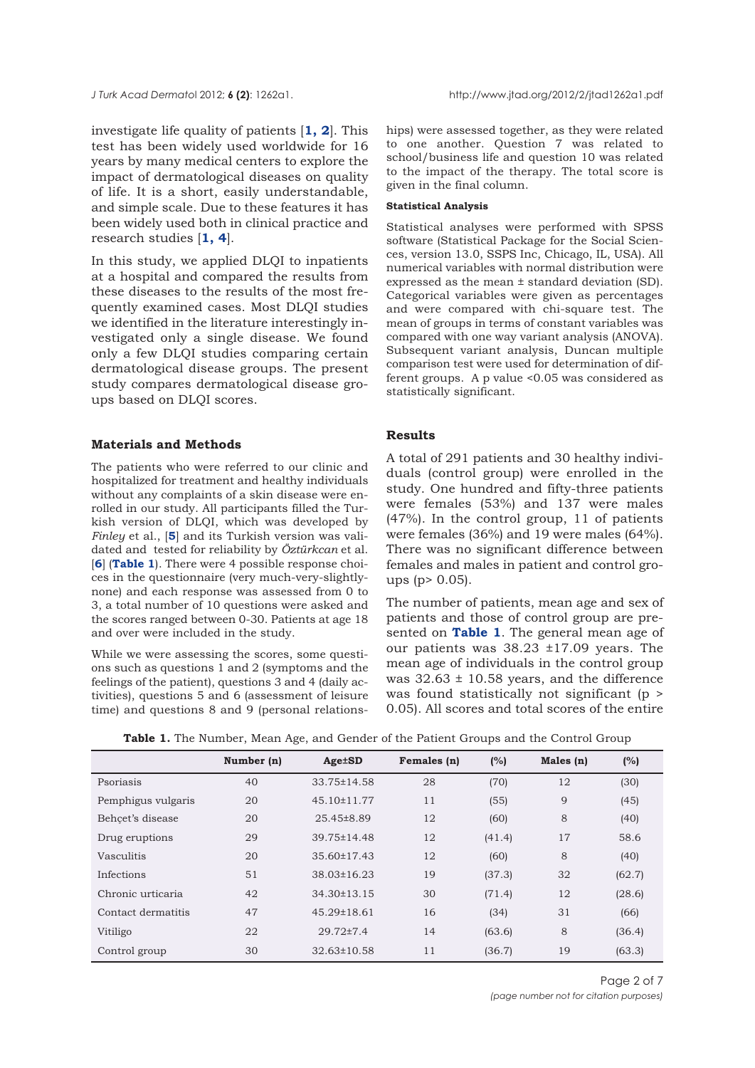investigate life quality of patients [**[1, 2](#page-6-0)**]. This test has been widely used worldwide for 16 years by many medical centers to explore the impact of dermatological diseases on quality of life. It is a short, easily understandable, and simple scale. Due to these features it has been widely used both in clinical practice and research studies [**[1, 4](#page-6-0)**].

In this study, we applied DLQI to inpatients at a hospital and compared the results from these diseases to the results of the most frequently examined cases. Most DLQI studies we identified in the literature interestingly investigated only a single disease. We found only a few DLQI studies comparing certain dermatological disease groups. The present study compares dermatological disease groups based on DLQI scores.

## **Materials and Methods**

The patients who were referred to our clinic and hospitalized for treatment and healthy individuals without any complaints of a skin disease were enrolled in our study. All participants filled the Turkish version of DLQI, which was developed by *Finley* et al., [**[5](#page-6-0)**] and its Turkish version was validated and tested for reliability by *Öztürkcan* et al. [**[6](#page-6-0)**] (**Table 1**). There were 4 possible response choices in the questionnaire (very much-very-slightlynone) and each response was assessed from 0 to 3, a total number of 10 questions were asked and the scores ranged between 0-30. Patients at age 18 and over were included in the study.

While we were assessing the scores, some questions such as questions 1 and 2 (symptoms and the feelings of the patient), questions 3 and 4 (daily activities), questions 5 and 6 (assessment of leisure time) and questions 8 and 9 (personal relationships) were assessed together, as they were related to one another. Question 7 was related to school/business life and question 10 was related to the impact of the therapy. The total score is given in the final column.

#### **Statistical Analysis**

Statistical analyses were performed with SPSS software (Statistical Package for the Social Sciences, version 13.0, SSPS Inc, Chicago, IL, USA). All numerical variables with normal distribution were expressed as the mean ± standard deviation (SD). Categorical variables were given as percentages and were compared with chi-square test. The mean of groups in terms of constant variables was compared with one way variant analysis (ANOVA). Subsequent variant analysis, Duncan multiple comparison test were used for determination of different groups. A p value <0.05 was considered as statistically significant.

# **Results**

A total of 291 patients and 30 healthy individuals (control group) were enrolled in the study. One hundred and fifty-three patients were females (53%) and 137 were males (47%). In the control group, 11 of patients were females (36%) and 19 were males (64%). There was no significant difference between females and males in patient and control groups (p> 0.05).

The number of patients, mean age and sex of patients and those of control group are presented on **Table 1**. The general mean age of our patients was 38.23 ±17.09 years. The mean age of individuals in the control group was  $32.63 \pm 10.58$  years, and the difference was found statistically not significant (p > 0.05). All scores and total scores of the entire

| <b>Table 1.</b> The Number, Mean Age, and Gender of the Patient Groups and the Control Group |  |  |  |
|----------------------------------------------------------------------------------------------|--|--|--|
|----------------------------------------------------------------------------------------------|--|--|--|

| Number (n) | $Age \pm SD$      | Females (n) | (%)    | Males (n) | (%)    |  |
|------------|-------------------|-------------|--------|-----------|--------|--|
| 40         | 33.75±14.58       | 28          | (70)   | 12        | (30)   |  |
| 20         | 45.10±11.77       | 11          | (55)   | 9         | (45)   |  |
| 20         | 25.45±8.89        | 12          | (60)   | 8         | (40)   |  |
| 29         | 39.75±14.48       | 12          | (41.4) | 17        | 58.6   |  |
| 20         | 35.60±17.43       | 12          | (60)   | 8         | (40)   |  |
| 51         | $38.03 \pm 16.23$ | 19          | (37.3) | 32        | (62.7) |  |
| 42         | $34.30 \pm 13.15$ | 30          | (71.4) | 12        | (28.6) |  |
| 47         | $45.29 \pm 18.61$ | 16          | (34)   | 31        | (66)   |  |
| 22         | $29.72{\pm}7.4$   | 14          | (63.6) | 8         | (36.4) |  |
| 30         | $32.63 \pm 10.58$ | 11          | (36.7) | 19        | (63.3) |  |
|            |                   |             |        |           |        |  |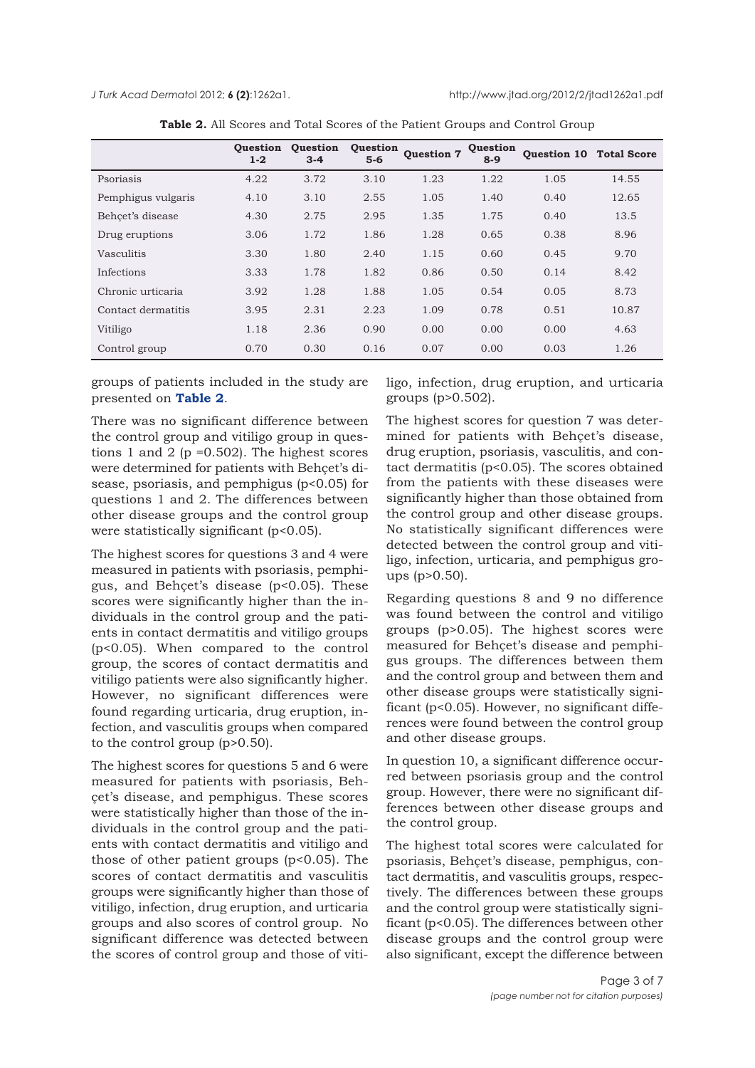*J Turk Acad Dermato*l 2012; **6 (2)**:1262a1. http://www.jtad.org/2012/2/jtad1262a1.pdf

|                    | <b>Ouestion</b><br>$1 - 2$ | <b>Ouestion</b><br>$3 - 4$ | <b>Ouestion</b><br>$5-6$ | <b>Ouestion 7</b> | Question<br>$8-9$ | <b>Ouestion 10</b> | <b>Total Score</b> |
|--------------------|----------------------------|----------------------------|--------------------------|-------------------|-------------------|--------------------|--------------------|
| Psoriasis          | 4.22                       | 3.72                       | 3.10                     | 1.23              | 1.22              | 1.05               | 14.55              |
| Pemphigus vulgaris | 4.10                       | 3.10                       | 2.55                     | 1.05              | 1.40              | 0.40               | 12.65              |
| Behcet's disease   | 4.30                       | 2.75                       | 2.95                     | 1.35              | 1.75              | 0.40               | 13.5               |
| Drug eruptions     | 3.06                       | 1.72                       | 1.86                     | 1.28              | 0.65              | 0.38               | 8.96               |
| Vasculitis         | 3.30                       | 1.80                       | 2.40                     | 1.15              | 0.60              | 0.45               | 9.70               |
| Infections         | 3.33                       | 1.78                       | 1.82                     | 0.86              | 0.50              | 0.14               | 8.42               |
| Chronic urticaria  | 3.92                       | 1.28                       | 1.88                     | 1.05              | 0.54              | 0.05               | 8.73               |
| Contact dermatitis | 3.95                       | 2.31                       | 2.23                     | 1.09              | 0.78              | 0.51               | 10.87              |
| Vitiligo           | 1.18                       | 2.36                       | 0.90                     | 0.00              | 0.00              | 0.00               | 4.63               |
| Control group      | 0.70                       | 0.30                       | 0.16                     | 0.07              | 0.00              | 0.03               | 1.26               |

| Table 2. All Scores and Total Scores of the Patient Groups and Control Group |  |
|------------------------------------------------------------------------------|--|
|------------------------------------------------------------------------------|--|

groups of patients included in the study are presented on **Table 2**.

There was no significant difference between the control group and vitiligo group in questions 1 and 2 ( $p = 0.502$ ). The highest scores were determined for patients with Behçet's disease, psoriasis, and pemphigus (p<0.05) for questions 1 and 2. The differences between other disease groups and the control group were statistically significant (p<0.05).

The highest scores for questions 3 and 4 were measured in patients with psoriasis, pemphigus, and Behçet's disease (p<0.05). These scores were significantly higher than the individuals in the control group and the patients in contact dermatitis and vitiligo groups (p<0.05). When compared to the control group, the scores of contact dermatitis and vitiligo patients were also significantly higher. However, no significant differences were found regarding urticaria, drug eruption, infection, and vasculitis groups when compared to the control group (p>0.50).

The highest scores for questions 5 and 6 were measured for patients with psoriasis, Behçet's disease, and pemphigus. These scores were statistically higher than those of the individuals in the control group and the patients with contact dermatitis and vitiligo and those of other patient groups (p<0.05). The scores of contact dermatitis and vasculitis groups were significantly higher than those of vitiligo, infection, drug eruption, and urticaria groups and also scores of control group. No significant difference was detected between the scores of control group and those of vitiligo, infection, drug eruption, and urticaria groups (p>0.502).

The highest scores for question 7 was determined for patients with Behçet's disease, drug eruption, psoriasis, vasculitis, and contact dermatitis (p<0.05). The scores obtained from the patients with these diseases were significantly higher than those obtained from the control group and other disease groups. No statistically significant differences were detected between the control group and vitiligo, infection, urticaria, and pemphigus groups (p>0.50).

Regarding questions 8 and 9 no difference was found between the control and vitiligo groups (p>0.05). The highest scores were measured for Behçet's disease and pemphigus groups. The differences between them and the control group and between them and other disease groups were statistically significant (p<0.05). However, no significant differences were found between the control group and other disease groups.

In question 10, a significant difference occurred between psoriasis group and the control group. However, there were no significant differences between other disease groups and the control group.

The highest total scores were calculated for psoriasis, Behçet's disease, pemphigus, contact dermatitis, and vasculitis groups, respectively. The differences between these groups and the control group were statistically significant (p<0.05). The differences between other disease groups and the control group were also significant, except the difference between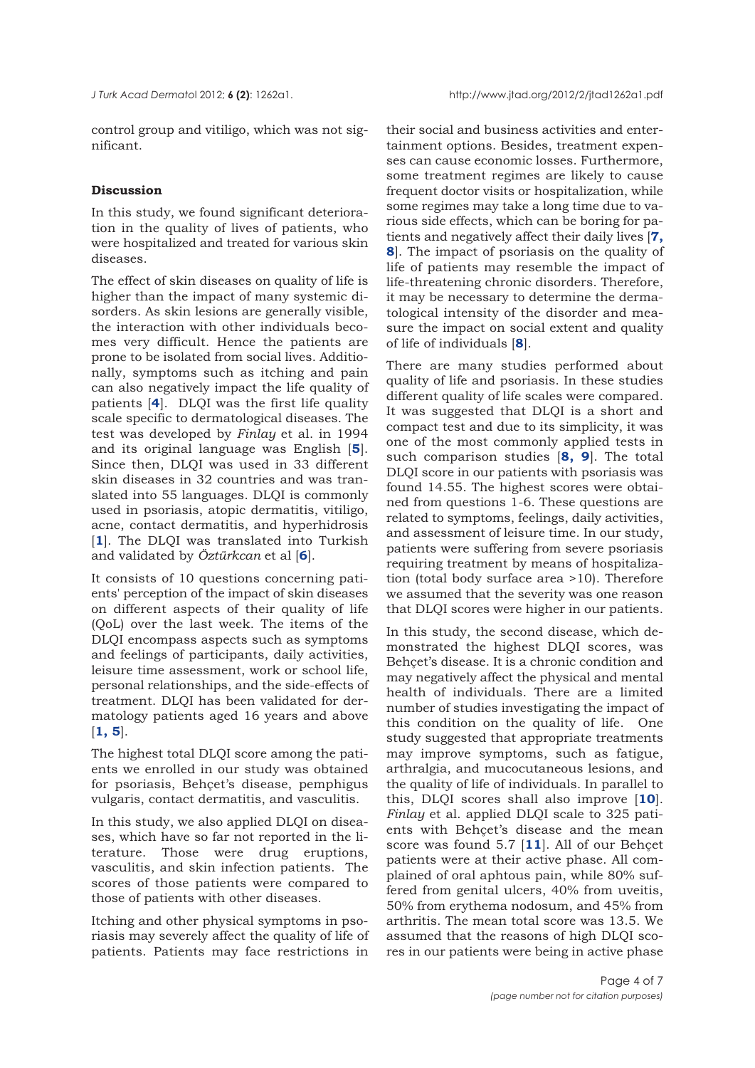control group and vitiligo, which was not significant.

# **Discussion**

In this study, we found significant deterioration in the quality of lives of patients, who were hospitalized and treated for various skin diseases.

The effect of skin diseases on quality of life is higher than the impact of many systemic disorders. As skin lesions are generally visible, the interaction with other individuals becomes very difficult. Hence the patients are prone to be isolated from social lives. Additionally, symptoms such as itching and pain can also negatively impact the life quality of patients [**[4](#page-6-0)**]. DLQI was the first life quality scale specific to dermatological diseases. The test was developed by *Finlay* et al. in 1994 and its original language was English [**[5](#page-6-0)**]. Since then, DLQI was used in 33 different skin diseases in 32 countries and was translated into 55 languages. DLQI is commonly used in psoriasis, atopic dermatitis, vitiligo, acne, contact dermatitis, and hyperhidrosis [**1**]. The DLQI was translated into Turkish and validated by *Öztürkcan* et al [**[6](#page-6-0)**].

It consists of 10 questions concerning patients' perception of the impact of skin diseases on different aspects of their quality of life (QoL) over the last week. The items of the DLQI encompass aspects such as symptoms and feelings of participants, daily activities, leisure time assessment, work or school life, personal relationships, and the side-effects of treatment. DLQI has been validated for dermatology patients aged 16 years and above [**[1, 5](#page-6-0)**].

The highest total DLQI score among the patients we enrolled in our study was obtained for psoriasis, Behçet's disease, pemphigus vulgaris, contact dermatitis, and vasculitis.

In this study, we also applied DLQI on diseases, which have so far not reported in the literature. Those were drug eruptions, vasculitis, and skin infection patients. The scores of those patients were compared to those of patients with other diseases.

Itching and other physical symptoms in psoriasis may severely affect the quality of life of patients. Patients may face restrictions in

their social and business activities and entertainment options. Besides, treatment expenses can cause economic losses. Furthermore, some treatment regimes are likely to cause frequent doctor visits or hospitalization, while some regimes may take a long time due to various side effects, which can be boring for patients and negatively affect their daily lives [**7, 8**[\]. The impact of psoriasis on the quality of](#page-6-0) life of patients may resemble the impact of life-threatening chronic disorders. Therefore, it may be necessary to determine the dermatological intensity of the disorder and measure the impact on social extent and quality of life of individuals [**[8](#page-6-0)**].

There are many studies performed about quality of life and psoriasis. In these studies different quality of life scales were compared. It was suggested that DLQI is a short and compact test and due to its simplicity, it was one of the most commonly applied tests in such comparison studies [**[8, 9](#page-6-0)**]. The total DLQI score in our patients with psoriasis was found 14.55. The highest scores were obtained from questions 1-6. These questions are related to symptoms, feelings, daily activities, and assessment of leisure time. In our study, patients were suffering from severe psoriasis requiring treatment by means of hospitalization (total body surface area >10). Therefore we assumed that the severity was one reason that DLQI scores were higher in our patients.

In this study, the second disease, which demonstrated the highest DLQI scores, was Behçet's disease. It is a chronic condition and may negatively affect the physical and mental health of individuals. There are a limited number of studies investigating the impact of this condition on the quality of life. One study suggested that appropriate treatments may improve symptoms, such as fatigue, arthralgia, and mucocutaneous lesions, and the quality of life of individuals. In parallel to this, DLQI scores shall also improve [**[10](#page-6-0)**]. *Finlay* et al. applied DLQI scale to 325 patients with Behçet's disease and the mean score was found 5.7 [**[11](#page-6-0)**]. All of our Behçet patients were at their active phase. All complained of oral aphtous pain, while 80% suffered from genital ulcers, 40% from uveitis, 50% from erythema nodosum, and 45% from arthritis. The mean total score was 13.5. We assumed that the reasons of high DLQI scores in our patients were being in active phase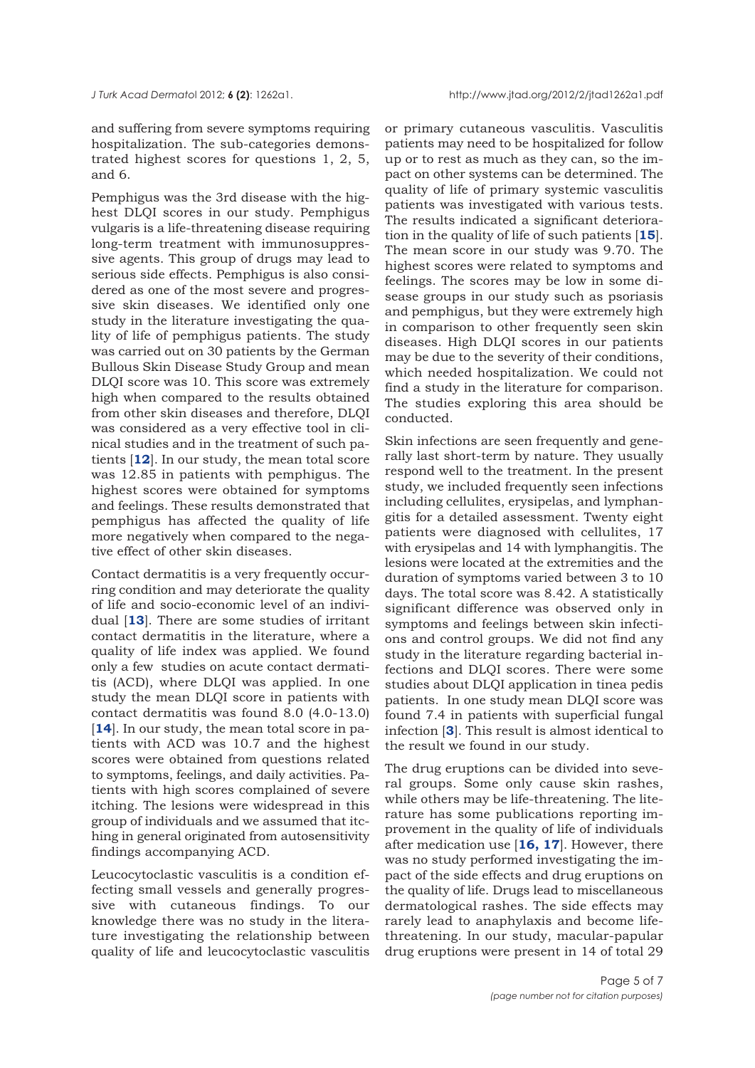and suffering from severe symptoms requiring hospitalization. The sub-categories demonstrated highest scores for questions 1, 2, 5, and 6.

Pemphigus was the 3rd disease with the highest DLQI scores in our study. Pemphigus vulgaris is a life-threatening disease requiring long-term treatment with immunosuppressive agents. This group of drugs may lead to serious side effects. Pemphigus is also considered as one of the most severe and progressive skin diseases. We identified only one study in the literature investigating the quality of life of pemphigus patients. The study was carried out on 30 patients by the German Bullous Skin Disease Study Group and mean DLQI score was 10. This score was extremely high when compared to the results obtained from other skin diseases and therefore, DLQI was considered as a very effective tool in clinical studies and in the treatment of such patients [**[12](#page-6-0)**]. In our study, the mean total score was 12.85 in patients with pemphigus. The highest scores were obtained for symptoms and feelings. These results demonstrated that pemphigus has affected the quality of life more negatively when compared to the negative effect of other skin diseases.

Contact dermatitis is a very frequently occurring condition and may deteriorate the quality of life and socio-economic level of an individual [**[13](#page-6-0)**]. There are some studies of irritant contact dermatitis in the literature, where a quality of life index was applied. We found only a few studies on acute contact dermatitis (ACD), where DLQI was applied. In one study the mean DLQI score in patients with contact dermatitis was found 8.0 (4.0-13.0) [[14](#page-6-0)]. In our study, the mean total score in patients with ACD was 10.7 and the highest scores were obtained from questions related to symptoms, feelings, and daily activities. Patients with high scores complained of severe itching. The lesions were widespread in this group of individuals and we assumed that itching in general originated from autosensitivity findings accompanying ACD.

Leucocytoclastic vasculitis is a condition effecting small vessels and generally progressive with cutaneous findings. To our knowledge there was no study in the literature investigating the relationship between quality of life and leucocytoclastic vasculitis or primary cutaneous vasculitis. Vasculitis patients may need to be hospitalized for follow up or to rest as much as they can, so the impact on other systems can be determined. The quality of life of primary systemic vasculitis patients was investigated with various tests. The results indicated a significant deterioration in the quality of life of such patients [**[15](#page-6-0)**]. The mean score in our study was 9.70. The highest scores were related to symptoms and feelings. The scores may be low in some disease groups in our study such as psoriasis and pemphigus, but they were extremely high in comparison to other frequently seen skin diseases. High DLQI scores in our patients may be due to the severity of their conditions, which needed hospitalization. We could not find a study in the literature for comparison. The studies exploring this area should be conducted.

Skin infections are seen frequently and generally last short-term by nature. They usually respond well to the treatment. In the present study, we included frequently seen infections including cellulites, erysipelas, and lymphangitis for a detailed assessment. Twenty eight patients were diagnosed with cellulites, 17 with erysipelas and 14 with lymphangitis. The lesions were located at the extremities and the duration of symptoms varied between 3 to 10 days. The total score was 8.42. A statistically significant difference was observed only in symptoms and feelings between skin infections and control groups. We did not find any study in the literature regarding bacterial infections and DLQI scores. There were some studies about DLQI application in tinea pedis patients. In one study mean DLQI score was found 7.4 in patients with superficial fungal infection [**[3](#page-6-0)**]. This result is almost identical to the result we found in our study.

The drug eruptions can be divided into several groups. Some only cause skin rashes, while others may be life-threatening. The literature has some publications reporting improvement in the quality of life of individuals after medication use [**[16, 17](#page-6-0)**]. However, there was no study performed investigating the impact of the side effects and drug eruptions on the quality of life. Drugs lead to miscellaneous dermatological rashes. The side effects may rarely lead to anaphylaxis and become lifethreatening. In our study, macular-papular drug eruptions were present in 14 of total 29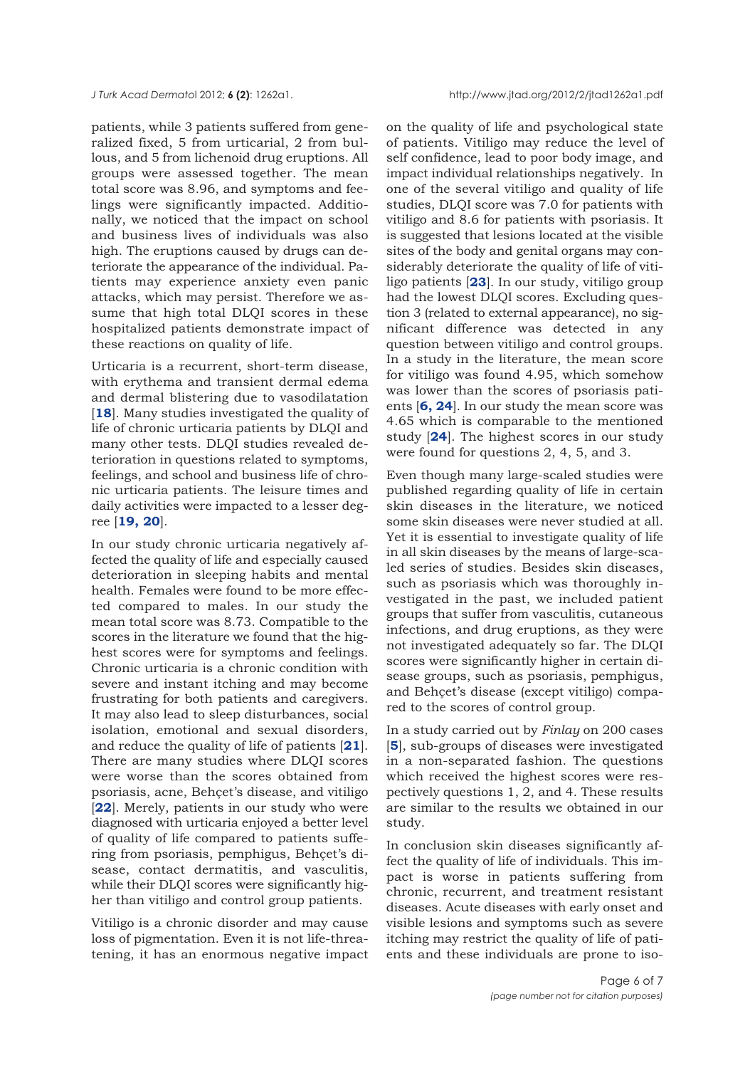patients, while 3 patients suffered from generalized fixed, 5 from urticarial, 2 from bullous, and 5 from lichenoid drug eruptions. All groups were assessed together. The mean total score was 8.96, and symptoms and feelings were significantly impacted. Additionally, we noticed that the impact on school and business lives of individuals was also high. The eruptions caused by drugs can deteriorate the appearance of the individual. Patients may experience anxiety even panic attacks, which may persist. Therefore we assume that high total DLQI scores in these hospitalized patients demonstrate impact of these reactions on quality of life.

Urticaria is a recurrent, short-term disease, with erythema and transient dermal edema and dermal blistering due to vasodilatation [**[18](#page-6-0)**]. Many studies investigated the quality of life of chronic urticaria patients by DLQI and many other tests. DLQI studies revealed deterioration in questions related to symptoms, feelings, and school and business life of chronic urticaria patients. The leisure times and daily activities were impacted to a lesser degree [**[19, 20](#page-6-0)**].

In our study chronic urticaria negatively affected the quality of life and especially caused deterioration in sleeping habits and mental health. Females were found to be more effected compared to males. In our study the mean total score was 8.73. Compatible to the scores in the literature we found that the highest scores were for symptoms and feelings. Chronic urticaria is a chronic condition with severe and instant itching and may become frustrating for both patients and caregivers. It may also lead to sleep disturbances, social isolation, emotional and sexual disorders, and reduce the quality of life of patients [**[21](#page-6-0)**]. There are many studies where DLQI scores were worse than the scores obtained from psoriasis, acne, Behçet's disease, and vitiligo [**[22](#page-6-0)**]. Merely, patients in our study who were diagnosed with urticaria enjoyed a better level of quality of life compared to patients suffering from psoriasis, pemphigus, Behçet's disease, contact dermatitis, and vasculitis, while their DLQI scores were significantly higher than vitiligo and control group patients.

Vitiligo is a chronic disorder and may cause loss of pigmentation. Even it is not life-threatening, it has an enormous negative impact

on the quality of life and psychological state of patients. Vitiligo may reduce the level of self confidence, lead to poor body image, and impact individual relationships negatively. In one of the several vitiligo and quality of life studies, DLQI score was 7.0 for patients with vitiligo and 8.6 for patients with psoriasis. It is suggested that lesions located at the visible sites of the body and genital organs may considerably deteriorate the quality of life of vitiligo patients [**[23](#page-6-0)**]. In our study, vitiligo group had the lowest DLQI scores. Excluding question 3 (related to external appearance), no significant difference was detected in any question between vitiligo and control groups. In a study in the literature, the mean score for vitiligo was found 4.95, which somehow was lower than the scores of psoriasis patients [**[6, 24](#page-6-0)**]. In our study the mean score was 4.65 which is comparable to the mentioned study [**[24](#page-6-0)**]. The highest scores in our study were found for questions 2, 4, 5, and 3.

Even though many large-scaled studies were published regarding quality of life in certain skin diseases in the literature, we noticed some skin diseases were never studied at all. Yet it is essential to investigate quality of life in all skin diseases by the means of large-scaled series of studies. Besides skin diseases, such as psoriasis which was thoroughly investigated in the past, we included patient groups that suffer from vasculitis, cutaneous infections, and drug eruptions, as they were not investigated adequately so far. The DLQI scores were significantly higher in certain disease groups, such as psoriasis, pemphigus, and Behçet's disease (except vitiligo) compared to the scores of control group.

In a study carried out by *Finlay* on 200 cases [**[5](#page-6-0)**], sub-groups of diseases were investigated in a non-separated fashion. The questions which received the highest scores were respectively questions 1, 2, and 4. These results are similar to the results we obtained in our study.

In conclusion skin diseases significantly affect the quality of life of individuals. This impact is worse in patients suffering from chronic, recurrent, and treatment resistant diseases. Acute diseases with early onset and visible lesions and symptoms such as severe itching may restrict the quality of life of patients and these individuals are prone to iso-